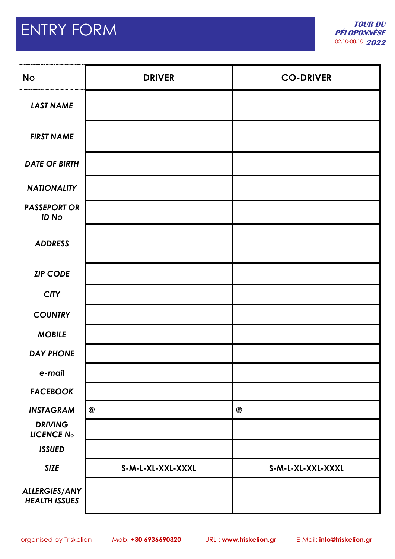# ENTRY FORM

I

| <b>No</b>                                    | <b>DRIVER</b>     | <b>CO-DRIVER</b>  |
|----------------------------------------------|-------------------|-------------------|
| <b>LAST NAME</b>                             |                   |                   |
| <b>FIRST NAME</b>                            |                   |                   |
| <b>DATE OF BIRTH</b>                         |                   |                   |
| <b>NATIONALITY</b>                           |                   |                   |
| <b>PASSEPORT OR</b><br><b>ID No</b>          |                   |                   |
| <b>ADDRESS</b>                               |                   |                   |
| <b>ZIP CODE</b>                              |                   |                   |
| <b>CITY</b>                                  |                   |                   |
| <b>COUNTRY</b>                               |                   |                   |
| <b>MOBILE</b>                                |                   |                   |
| <b>DAY PHONE</b>                             |                   |                   |
| e-mail                                       |                   |                   |
| <b>FACEBOOK</b>                              |                   |                   |
| <b>INSTAGRAM</b>                             | $\circledR$       | $^\circledR$      |
| <b>DRIVING</b><br>LICENCE <sub>No</sub>      |                   |                   |
| <b>ISSUED</b>                                |                   |                   |
| <b>SIZE</b>                                  | S-M-L-XL-XXL-XXXL | S-M-L-XL-XXL-XXXL |
| <b>ALLERGIES/ANY</b><br><b>HEALTH ISSUES</b> |                   |                   |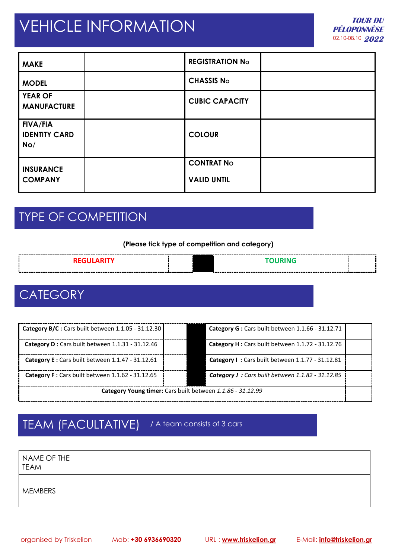## VEHICLE INFORMATION

| <b>MAKE</b>                                    | <b>REGISTRATION No</b>                  |  |
|------------------------------------------------|-----------------------------------------|--|
| <b>MODEL</b>                                   | <b>CHASSIS No</b>                       |  |
| <b>YEAR OF</b><br><b>MANUFACTURE</b>           | <b>CUBIC CAPACITY</b>                   |  |
| <b>FIVA/FIA</b><br><b>IDENTITY CARD</b><br>No/ | <b>COLOUR</b>                           |  |
| <b>INSURANCE</b><br><b>COMPANY</b>             | <b>CONTRAT No</b><br><b>VALID UNTIL</b> |  |

## TYPE OF COMPETITION

#### **(Please tick type of competition and category)**

| the contract of the contract of the contract of the contract of the contract of the contract of the contract of |  |
|-----------------------------------------------------------------------------------------------------------------|--|

### **CATEGORY**

| Category B/C : Cars built between 1.1.05 - 31.12.30        |  | Category G: Cars built between 1.1.66 - 31.12.71  |  |
|------------------------------------------------------------|--|---------------------------------------------------|--|
| Category D : Cars built between 1.1.31 - 31.12.46          |  | Category H : Cars built between 1.1.72 - 31.12.76 |  |
| Category E : Cars built between 1.1.47 - 31.12.61          |  | Category I: Cars built between 1.1.77 - 31.12.81  |  |
| Category F : Cars built between 1.1.62 - 31.12.65          |  | Category J : Cars built between 1.1.82 - 31.12.85 |  |
| Category Young timer: Cars built between 1.1.86 - 31.12.99 |  |                                                   |  |

### TEAM (FACULTATIVE) / A team consists of 3 cars

NAME OF THE TEAM MEMBERS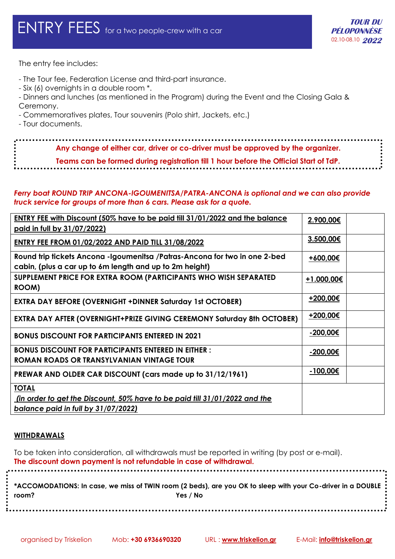The entry fee includes:

- The Tour fee, Federation License and third-part insurance.
- Six (6) overnights in a double room \*.
- Dinners and lunches (as mentioned in the Program) during the Event and the Closing Gala & Ceremony.
- Commemoratives plates, Tour souvenirs (Polo shirt, Jackets, etc.)
- Tour documents.

**Any change of either car, driver or co-driver must be approved by the organizer.**

**Teams can be formed during registration till 1 hour before the Official Start of TdP.**

#### *Ferry boat ROUND TRIP ANCONA-IGOUMENITSA/PATRA-ANCONA is optional and we can also provide truck service for groups of more than 6 cars. Please ask for a quote.*

| ENTRY FEE with Discount (50% have to be paid till 31/01/2022 and the balance<br>paid in full by 31/07/2022)                                     | 2.900,00€  |  |
|-------------------------------------------------------------------------------------------------------------------------------------------------|------------|--|
| <b>ENTRY FEE FROM 01/02/2022 AND PAID TILL 31/08/2022</b>                                                                                       | 3.500,00€  |  |
| Round trip tickets Ancona -Igoumenitsa /Patras-Ancona for two in one 2-bed<br>cabin, (plus a car up to 6m length and up to 2m height)           | +600,00€   |  |
| SUPPLEMENT PRICE FOR EXTRA ROOM (PARTICIPANTS WHO WISH SEPARATED<br>ROOM)                                                                       | +1.000,00€ |  |
| <b>EXTRA DAY BEFORE (OVERNIGHT +DINNER Saturday 1st OCTOBER)</b>                                                                                | +200,00€   |  |
| <b>EXTRA DAY AFTER (OVERNIGHT+PRIZE GIVING CEREMONY Saturday 8th OCTOBER)</b>                                                                   | +200,00€   |  |
| <b>BONUS DISCOUNT FOR PARTICIPANTS ENTERED IN 2021</b>                                                                                          | -200,00€   |  |
| <b>BONUS DISCOUNT FOR PARTICIPANTS ENTERED IN EITHER:</b><br>ROMAN ROADS OR TRANSYLVANIAN VINTAGE TOUR                                          | -200,00€   |  |
| PREWAR AND OLDER CAR DISCOUNT (cars made up to 31/12/1961)                                                                                      | -100,00€   |  |
| <b>TOTAL</b><br><u>(in order to get the Discount, 50% have to be paid till 31/01/2022 and the</u><br><u>balance paid in full by 31/07/2022)</u> |            |  |

#### **WITHDRAWALS**

To be taken into consideration, all withdrawals must be reported in writing (by post or e-mail). **The discount down payment is not refundable in case of withdrawal.**

|       | ; $\,$ *ACCOMODATIONS: In case, we miss of TWIN room (2 beds), are you OK to sleep with your Co-driver in a DOUBLE $\,$ |
|-------|-------------------------------------------------------------------------------------------------------------------------|
| room? | Yes / No                                                                                                                |